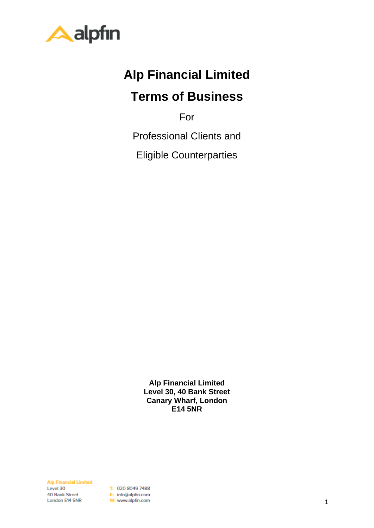

# **Alp Financial Limited**

# **Terms of Business**

For

Professional Clients and

Eligible Counterparties

**Alp Financial Limited Level 30, 40 Bank Street Canary Wharf, London E14 5NR**

**Alp Financial Limited** Level 30 40 Bank Street London E14 5NR

T: 020 8049 7488 E: info@alpfin.com W: www.alpfin.com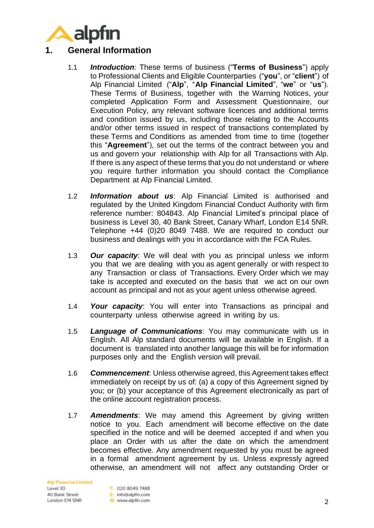

### **1. General Information**

- 1.1 *Introduction*: These terms of business ("**Terms of Business**") apply to Professional Clients and Eligible Counterparties ("**you**", or "**client**") of Alp Financial Limited ("**Alp**", "**Alp Financial Limited**", "**we**" or "**us**"). These Terms of Business, together with the Warning Notices, your completed Application Form and Assessment Questionnaire, our Execution Policy, any relevant software licences and additional terms and condition issued by us, including those relating to the Accounts and/or other terms issued in respect of transactions contemplated by these Terms and Conditions as amended from time to time (together this "**Agreement**"), set out the terms of the contract between you and us and govern your relationship with Alp for all Transactions with Alp. If there is any aspect of these terms that you do not understand or where you require further information you should contact the Compliance Department at Alp Financial Limited.
- 1.2 *Information about us*: Alp Financial Limited is authorised and regulated by the United Kingdom Financial Conduct Authority with firm reference number: 804843. Alp Financial Limited's principal place of business is Level 30, 40 Bank Street, Canary Wharf, London E14 5NR. Telephone +44 (0)20 8049 7488. We are required to conduct our business and dealings with you in accordance with the FCA Rules.
- 1.3 *Our capacity*: We will deal with you as principal unless we inform you that we are dealing with you as agent generally or with respect to any Transaction or class of Transactions. Every Order which we may take is accepted and executed on the basis that we act on our own account as principal and not as your agent unless otherwise agreed.
- 1.4 *Your capacity*: You will enter into Transactions as principal and counterparty unless otherwise agreed in writing by us.
- 1.5 *Language of Communications*: You may communicate with us in English. All Alp standard documents will be available in English. If a document is translated into another language this will be for information purposes only and the English version will prevail.
- 1.6 *Commencement*: Unless otherwise agreed, this Agreement takes effect immediately on receipt by us of: (a) a copy of this Agreement signed by you; or (b) your acceptance of this Agreement electronically as part of the online account registration process.
- 1.7 *Amendments*: We may amend this Agreement by giving written notice to you. Each amendment will become effective on the date specified in the notice and will be deemed accepted if and when you place an Order with us after the date on which the amendment becomes effective. Any amendment requested by you must be agreed in a formal amendment agreement by us. Unless expressly agreed otherwise, an amendment will not affect any outstanding Order or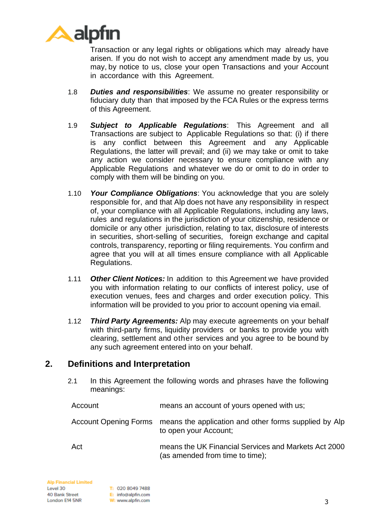

Transaction or any legal rights or obligations which may already have arisen. If you do not wish to accept any amendment made by us, you may, by notice to us, close your open Transactions and your Account in accordance with this Agreement.

- 1.8 *Duties and responsibilities*: We assume no greater responsibility or fiduciary duty than that imposed by the FCA Rules or the express terms of this Agreement.
- 1.9 *Subject to Applicable Regulations*: This Agreement and all Transactions are subject to Applicable Regulations so that: (i) if there is any conflict between this Agreement and any Applicable Regulations, the latter will prevail; and (ii) we may take or omit to take any action we consider necessary to ensure compliance with any Applicable Regulations and whatever we do or omit to do in order to comply with them will be binding on you.
- 1.10 *Your Compliance Obligations*: You acknowledge that you are solely responsible for, and that Alp does not have any responsibility in respect of, your compliance with all Applicable Regulations, including any laws, rules and regulations in the jurisdiction of your citizenship, residence or domicile or any other jurisdiction, relating to tax, disclosure of interests in securities, short-selling of securities, foreign exchange and capital controls, transparency, reporting or filing requirements. You confirm and agree that you will at all times ensure compliance with all Applicable Regulations.
- 1.11 *Other Client Notices:* In addition to this Agreement we have provided you with information relating to our conflicts of interest policy, use of execution venues, fees and charges and order execution policy. This information will be provided to you prior to account opening via email.
- 1.12 *Third Party Agreements:* Alp may execute agreements on your behalf with third-party firms, liquidity providers or banks to provide you with clearing, settlement and other services and you agree to be bound by any such agreement entered into on your behalf.

#### **2. Definitions and Interpretation**

2.1 In this Agreement the following words and phrases have the following meanings:

| Account | means an account of yours opened with us;                                                            |
|---------|------------------------------------------------------------------------------------------------------|
|         | Account Opening Forms means the application and other forms supplied by Alp<br>to open your Account; |
| Act     | means the UK Financial Services and Markets Act 2000<br>(as amended from time to time);              |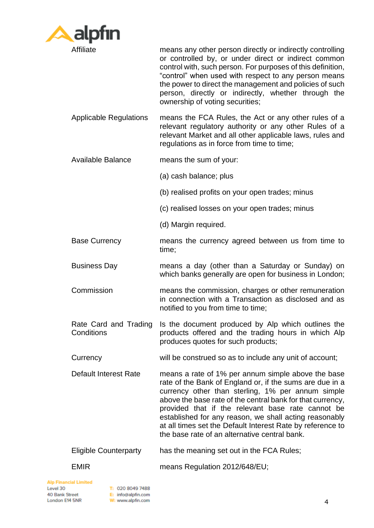

Affiliate means any other person directly or indirectly controlling or controlled by, or under direct or indirect common control with, such person. For purposes of this definition, "control" when used with respect to any person means the power to direct the management and policies of such person, directly or indirectly, whether through the ownership of voting securities;

Applicable Regulations means the FCA Rules, the Act or any other rules of a relevant regulatory authority or any other Rules of a relevant Market and all other applicable laws, rules and regulations as in force from time to time;

Available Balance means the sum of your:

- (a) cash balance; plus
- (b) realised profits on your open trades; minus
- (c) realised losses on your open trades; minus
- (d) Margin required.
- Base Currency means the currency agreed between us from time to time;
- Business Day means a day (other than a Saturday or Sunday) on which banks generally are open for business in London;
- Commission means the commission, charges or other remuneration in connection with a Transaction as disclosed and as notified to you from time to time;
- Rate Card and Trading **Conditions** Is the document produced by Alp which outlines the products offered and the trading hours in which Alp produces quotes for such products;
- Currency will be construed so as to include any unit of account;
- Default Interest Rate means a rate of 1% per annum simple above the base rate of the Bank of England or, if the sums are due in a currency other than sterling, 1% per annum simple above the base rate of the central bank for that currency, provided that if the relevant base rate cannot be established for any reason, we shall acting reasonably at all times set the Default Interest Rate by reference to the base rate of an alternative central bank.
- Eligible Counterparty has the meaning set out in the FCA Rules;
- EMIR means Regulation 2012/648/EU;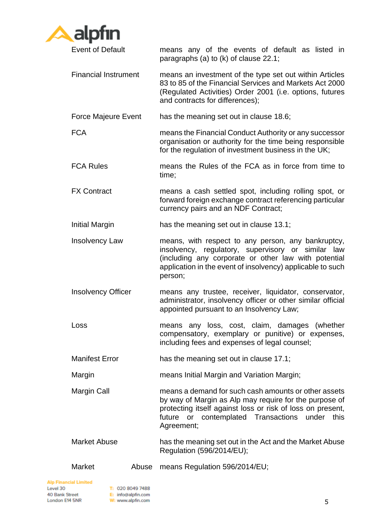

Event of Default means any of the events of default as listed in paragraphs (a) to (k) of clause [22.1;](#page-28-0)

- Financial Instrument means an investment of the type set out within Articles 83 to 85 of the Financial Services and Markets Act 2000 (Regulated Activities) Order 2001 (i.e. options, futures and contracts for differences);
- Force Majeure Event has the meaning set out in clause [18.6;](#page-22-0)
- FCA means the Financial Conduct Authority or any successor organisation or authority for the time being responsible for the regulation of investment business in the UK;
- FCA Rules means the Rules of the FCA as in force from time to time;
- FX Contract means a cash settled spot, including rolling spot, or forward foreign exchange contract referencing particular currency pairs and an NDF Contract;
- Initial Margin has the meaning set out in clause [13.1;](#page-16-0)
- Insolvency Law means, with respect to any person, any bankruptcy, insolvency, regulatory, supervisory or similar law (including any corporate or other law with potential application in the event of insolvency) applicable to such person;
- Insolvency Officer means any trustee, receiver, liquidator, conservator, administrator, insolvency officer or other similar official appointed pursuant to an Insolvency Law;
- Loss means any loss, cost, claim, damages (whether compensatory, exemplary or punitive) or expenses, including fees and expenses of legal counsel;
- Manifest Error has the meaning set out in clause [17.1;](#page-21-0)
- Margin means Initial Margin and Variation Margin;
- Margin Call means a demand for such cash amounts or other assets by way of Margin as Alp may require for the purpose of protecting itself against loss or risk of loss on present, future or contemplated Transactions under this Agreement;
- Market Abuse has the meaning set out in the Act and the Market Abuse Regulation (596/2014/EU);

Market Abuse means Regulation 596/2014/EU;

**Alp Financial Limited** Level 30 40 Bank Street London E14 5NR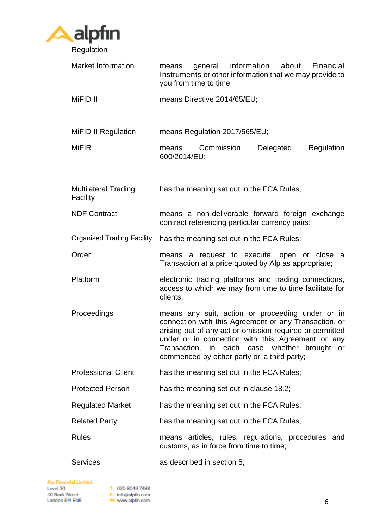

| <b>Market Information</b>               | information about<br>Financial<br>general<br>means<br>Instruments or other information that we may provide to<br>you from time to time;                                                                                                                                                                                   |
|-----------------------------------------|---------------------------------------------------------------------------------------------------------------------------------------------------------------------------------------------------------------------------------------------------------------------------------------------------------------------------|
| MiFID II                                | means Directive 2014/65/EU;                                                                                                                                                                                                                                                                                               |
| <b>MiFID II Regulation</b>              | means Regulation 2017/565/EU;                                                                                                                                                                                                                                                                                             |
| <b>MiFIR</b>                            | Commission<br>Delegated<br>Regulation<br>means<br>600/2014/EU;                                                                                                                                                                                                                                                            |
| <b>Multilateral Trading</b><br>Facility | has the meaning set out in the FCA Rules;                                                                                                                                                                                                                                                                                 |
| <b>NDF Contract</b>                     | means a non-deliverable forward foreign exchange<br>contract referencing particular currency pairs;                                                                                                                                                                                                                       |
| <b>Organised Trading Facility</b>       | has the meaning set out in the FCA Rules;                                                                                                                                                                                                                                                                                 |
| Order                                   | means a request to execute, open or close a<br>Transaction at a price quoted by Alp as appropriate;                                                                                                                                                                                                                       |
| Platform                                | electronic trading platforms and trading connections,<br>access to which we may from time to time facilitate for<br>clients;                                                                                                                                                                                              |
| Proceedings                             | means any suit, action or proceeding under or in<br>connection with this Agreement or any Transaction, or<br>arising out of any act or omission required or permitted<br>under or in connection with this Agreement or any<br>Transaction, in each case whether brought or<br>commenced by either party or a third party; |
| <b>Professional Client</b>              | has the meaning set out in the FCA Rules;                                                                                                                                                                                                                                                                                 |
| <b>Protected Person</b>                 | has the meaning set out in clause 18.2;                                                                                                                                                                                                                                                                                   |
| <b>Regulated Market</b>                 | has the meaning set out in the FCA Rules;                                                                                                                                                                                                                                                                                 |
| <b>Related Party</b>                    | has the meaning set out in the FCA Rules;                                                                                                                                                                                                                                                                                 |
| <b>Rules</b>                            | means articles, rules, regulations, procedures and<br>customs, as in force from time to time;                                                                                                                                                                                                                             |
| <b>Services</b>                         | as described in section 5;                                                                                                                                                                                                                                                                                                |

**Alp Financial Limited**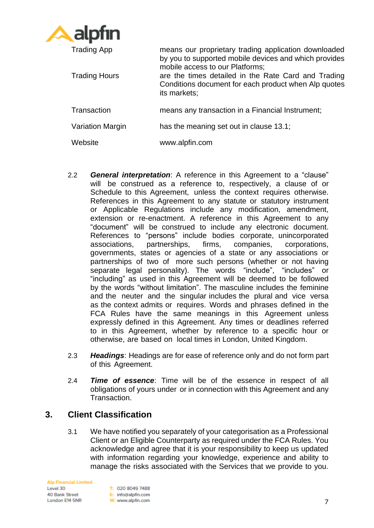

| <b>Trading App</b>   | means our proprietary trading application downloaded<br>by you to supported mobile devices and which provides<br>mobile access to our Platforms; |
|----------------------|--------------------------------------------------------------------------------------------------------------------------------------------------|
| <b>Trading Hours</b> | are the times detailed in the Rate Card and Trading<br>Conditions document for each product when Alp quotes<br>its markets;                      |
| Transaction          | means any transaction in a Financial Instrument;                                                                                                 |
| Variation Margin     | has the meaning set out in clause 13.1;                                                                                                          |
| Website              | www.alpfin.com                                                                                                                                   |

- 2.2 *General interpretation*: A reference in this Agreement to a "clause" will be construed as a reference to, respectively, a clause of or Schedule to this Agreement, unless the context requires otherwise. References in this Agreement to any statute or statutory instrument or Applicable Regulations include any modification, amendment, extension or re-enactment. A reference in this Agreement to any "document" will be construed to include any electronic document. References to "persons" include bodies corporate, unincorporated associations, partnerships, firms, companies, corporations, governments, states or agencies of a state or any associations or partnerships of two of more such persons (whether or not having separate legal personality). The words "include", "includes" or "including" as used in this Agreement will be deemed to be followed by the words "without limitation". The masculine includes the feminine and the neuter and the singular includes the plural and vice versa as the context admits or requires. Words and phrases defined in the FCA Rules have the same meanings in this Agreement unless expressly defined in this Agreement. Any times or deadlines referred to in this Agreement, whether by reference to a specific hour or otherwise, are based on local times in London, United Kingdom.
- 2.3 *Headings*: Headings are for ease of reference only and do not form part of this Agreement.
- 2.4 *Time of essence*: Time will be of the essence in respect of all obligations of yours under or in connection with this Agreement and any Transaction.

# **3. Client Classification**

3.1 We have notified you separately of your categorisation as a Professional Client or an Eligible Counterparty as required under the FCA Rules. You acknowledge and agree that it is your responsibility to keep us updated with information regarding your knowledge, experience and ability to manage the risks associated with the Services that we provide to you.

**Alp Financial Limited** Level 30 40 Bank Street London E14 5NR

T: 020 8049 7488 E: info@alpfin.com W: www.alpfin.com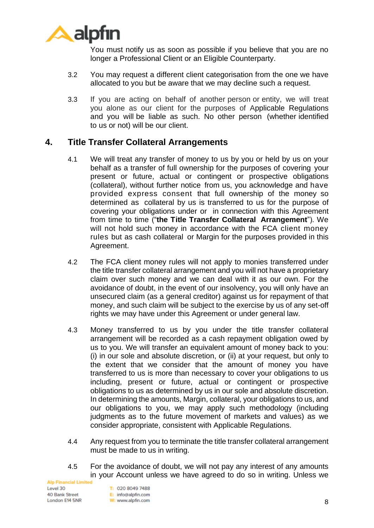

You must notify us as soon as possible if you believe that you are no longer a Professional Client or an Eligible Counterparty.

- 3.2 You may request a different client categorisation from the one we have allocated to you but be aware that we may decline such a request.
- 3.3 If you are acting on behalf of another person or entity, we will treat you alone as our client for the purposes of Applicable Regulations and you will be liable as such. No other person (whether identified to us or not) will be our client.

### **4. Title Transfer Collateral Arrangements**

- 4.1 We will treat any transfer of money to us by you or held by us on your behalf as a transfer of full ownership for the purposes of covering your present or future, actual or contingent or prospective obligations (collateral), without further notice from us, you acknowledge and have provided express consent that full ownership of the money so determined as collateral by us is transferred to us for the purpose of covering your obligations under or in connection with this Agreement from time to time ("**the Title Transfer Collateral Arrangement**"). We will not hold such money in accordance with the FCA client money rules but as cash collateral or Margin for the purposes provided in this Agreement.
- 4.2 The FCA client money rules will not apply to monies transferred under the title transfer collateral arrangement and you will not have a proprietary claim over such money and we can deal with it as our own. For the avoidance of doubt, in the event of our insolvency, you will only have an unsecured claim (as a general creditor) against us for repayment of that money, and such claim will be subject to the exercise by us of any set-off rights we may have under this Agreement or under general law.
- 4.3 Money transferred to us by you under the title transfer collateral arrangement will be recorded as a cash repayment obligation owed by us to you. We will transfer an equivalent amount of money back to you: (i) in our sole and absolute discretion, or (ii) at your request, but only to the extent that we consider that the amount of money you have transferred to us is more than necessary to cover your obligations to us including, present or future, actual or contingent or prospective obligations to us as determined by us in our sole and absolute discretion. In determining the amounts, Margin, collateral, your obligations to us, and our obligations to you, we may apply such methodology (including judgments as to the future movement of markets and values) as we consider appropriate, consistent with Applicable Regulations.
- 4.4 Any request from you to terminate the title transfer collateral arrangement must be made to us in writing.
- 4.5 For the avoidance of doubt, we will not pay any interest of any amounts in your Account unless we have agreed to do so in writing. Unless we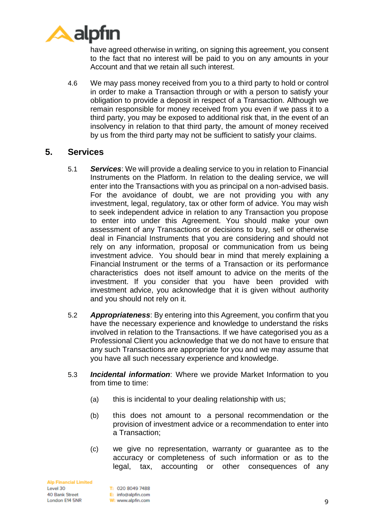

have agreed otherwise in writing, on signing this agreement, you consent to the fact that no interest will be paid to you on any amounts in your Account and that we retain all such interest.

4.6 We may pass money received from you to a third party to hold or control in order to make a Transaction through or with a person to satisfy your obligation to provide a deposit in respect of a Transaction. Although we remain responsible for money received from you even if we pass it to a third party, you may be exposed to additional risk that, in the event of an insolvency in relation to that third party, the amount of money received by us from the third party may not be sufficient to satisfy your claims.

#### <span id="page-8-0"></span>**5. Services**

- 5.1 *Services*: We will provide a dealing service to you in relation to Financial Instruments on the Platform. In relation to the dealing service, we will enter into the Transactions with you as principal on a non-advised basis. For the avoidance of doubt, we are not providing you with any investment, legal, regulatory, tax or other form of advice. You may wish to seek independent advice in relation to any Transaction you propose to enter into under this Agreement. You should make your own assessment of any Transactions or decisions to buy, sell or otherwise deal in Financial Instruments that you are considering and should not rely on any information, proposal or communication from us being investment advice. You should bear in mind that merely explaining a Financial Instrument or the terms of a Transaction or its performance characteristics does not itself amount to advice on the merits of the investment. If you consider that you have been provided with investment advice, you acknowledge that it is given without authority and you should not rely on it.
- <span id="page-8-1"></span>5.2 *Appropriateness*: By entering into this Agreement, you confirm that you have the necessary experience and knowledge to understand the risks involved in relation to the Transactions. If we have categorised you as a Professional Client you acknowledge that we do not have to ensure that any such Transactions are appropriate for you and we may assume that you have all such necessary experience and knowledge.
- 5.3 *Incidental information*: Where we provide Market Information to you from time to time:
	- (a) this is incidental to your dealing relationship with us;
	- (b) this does not amount to a personal recommendation or the provision of investment advice or a recommendation to enter into a Transaction;
	- (c) we give no representation, warranty or guarantee as to the accuracy or completeness of such information or as to the legal, tax, accounting or other consequences of any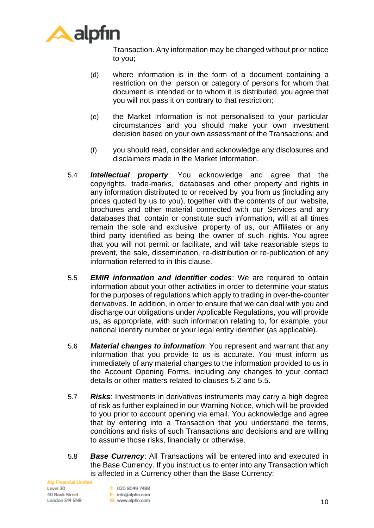

Transaction. Any information may be changed without prior notice to you;

- (d) where information is in the form of a document containing a restriction on the person or category of persons for whom that document is intended or to whom it is distributed, you agree that you will not pass it on contrary to that restriction;
- (e) the Market Information is not personalised to your particular circumstances and you should make your own investment decision based on your own assessment of the Transactions; and
- (f) you should read, consider and acknowledge any disclosures and disclaimers made in the Market Information.
- 5.4 *Intellectual property*: You acknowledge and agree that the copyrights, trade-marks, databases and other property and rights in any information distributed to or received by you from us (including any prices quoted by us to you), together with the contents of our website, brochures and other material connected with our Services and any databases that contain or constitute such information, will at all times remain the sole and exclusive property of us, our Affiliates or any third party identified as being the owner of such rights. You agree that you will not permit or facilitate, and will take reasonable steps to prevent, the sale, dissemination, re-distribution or re-publication of any information referred to in this clause.
- <span id="page-9-0"></span>5.5 *EMIR information and identifier codes*: We are required to obtain information about your other activities in order to determine your status for the purposes of regulations which apply to trading in over-the-counter derivatives. In addition, in order to ensure that we can deal with you and discharge our obligations under Applicable Regulations, you will provide us, as appropriate, with such information relating to, for example, your national identity number or your legal entity identifier (as applicable).
- 5.6 *Material changes to information*: You represent and warrant that any information that you provide to us is accurate. You must inform us immediately of any material changes to the information provided to us in the Account Opening Forms, including any changes to your contact details or other matters related to clauses [5.2](#page-8-1) and [5.5.](#page-9-0)
- 5.7 *Risks*: Investments in derivatives instruments may carry a high degree of risk as further explained in our Warning Notice, which will be provided to you prior to account opening via email. You acknowledge and agree that by entering into a Transaction that you understand the terms, conditions and risks of such Transactions and decisions and are willing to assume those risks, financially or otherwise.
- 5.8 *Base Currency*: All Transactions will be entered into and executed in the Base Currency. If you instruct us to enter into any Transaction which is affected in a Currency other than the Base Currency: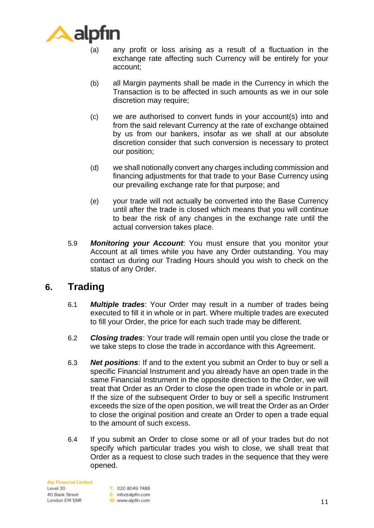

- (a) any profit or loss arising as a result of a fluctuation in the exchange rate affecting such Currency will be entirely for your account;
- (b) all Margin payments shall be made in the Currency in which the Transaction is to be affected in such amounts as we in our sole discretion may require;
- (c) we are authorised to convert funds in your account(s) into and from the said relevant Currency at the rate of exchange obtained by us from our bankers, insofar as we shall at our absolute discretion consider that such conversion is necessary to protect our position;
- (d) we shall notionally convert any charges including commission and financing adjustments for that trade to your Base Currency using our prevailing exchange rate for that purpose; and
- (e) your trade will not actually be converted into the Base Currency until after the trade is closed which means that you will continue to bear the risk of any changes in the exchange rate until the actual conversion takes place.
- 5.9 *Monitoring your Account*: You must ensure that you monitor your Account at all times while you have any Order outstanding. You may contact us during our Trading Hours should you wish to check on the status of any Order.

# **6. Trading**

- 6.1 *Multiple trades*: Your Order may result in a number of trades being executed to fill it in whole or in part. Where multiple trades are executed to fill your Order, the price for each such trade may be different.
- 6.2 *Closing trades*: Your trade will remain open until you close the trade or we take steps to close the trade in accordance with this Agreement.
- 6.3 *Net positions*: If and to the extent you submit an Order to buy or sell a specific Financial Instrument and you already have an open trade in the same Financial Instrument in the opposite direction to the Order, we will treat that Order as an Order to close the open trade in whole or in part. If the size of the subsequent Order to buy or sell a specific Instrument exceeds the size of the open position, we will treat the Order as an Order to close the original position and create an Order to open a trade equal to the amount of such excess.
- 6.4 If you submit an Order to close some or all of your trades but do not specify which particular trades you wish to close, we shall treat that Order as a request to close such trades in the sequence that they were opened.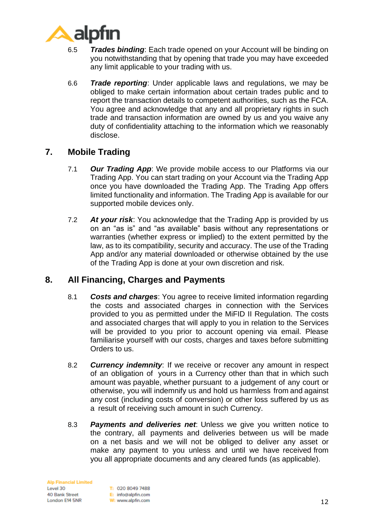

- 6.5 *Trades binding*: Each trade opened on your Account will be binding on you notwithstanding that by opening that trade you may have exceeded any limit applicable to your trading with us.
- 6.6 *Trade reporting*: Under applicable laws and regulations, we may be obliged to make certain information about certain trades public and to report the transaction details to competent authorities, such as the FCA. You agree and acknowledge that any and all proprietary rights in such trade and transaction information are owned by us and you waive any duty of confidentiality attaching to the information which we reasonably disclose.

# **7. Mobile Trading**

- 7.1 *Our Trading App*: We provide mobile access to our Platforms via our Trading App. You can start trading on your Account via the Trading App once you have downloaded the Trading App. The Trading App offers limited functionality and information. The Trading App is available for our supported mobile devices only.
- 7.2 *At your risk*: You acknowledge that the Trading App is provided by us on an "as is" and "as available" basis without any representations or warranties (whether express or implied) to the extent permitted by the law, as to its compatibility, security and accuracy. The use of the Trading App and/or any material downloaded or otherwise obtained by the use of the Trading App is done at your own discretion and risk.

# **8. All Financing, Charges and Payments**

- 8.1 *Costs and charges*: You agree to receive limited information regarding the costs and associated charges in connection with the Services provided to you as permitted under the MiFID II Regulation. The costs and associated charges that will apply to you in relation to the Services will be provided to you prior to account opening via email. Please familiarise yourself with our costs, charges and taxes before submitting Orders to us.
- 8.2 *Currency indemnity*: If we receive or recover any amount in respect of an obligation of yours in a Currency other than that in which such amount was payable, whether pursuant to a judgement of any court or otherwise, you will indemnify us and hold us harmless from and against any cost (including costs of conversion) or other loss suffered by us as a result of receiving such amount in such Currency.
- 8.3 *Payments and deliveries net*: Unless we give you written notice to the contrary, all payments and deliveries between us will be made on a net basis and we will not be obliged to deliver any asset or make any payment to you unless and until we have received from you all appropriate documents and any cleared funds (as applicable).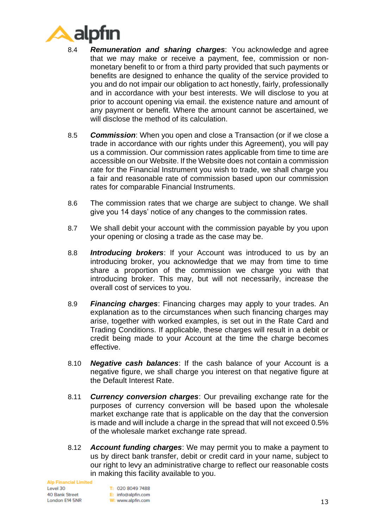

- 8.4 *Remuneration and sharing charges*: You acknowledge and agree that we may make or receive a payment, fee, commission or nonmonetary benefit to or from a third party provided that such payments or benefits are designed to enhance the quality of the service provided to you and do not impair our obligation to act honestly, fairly, professionally and in accordance with your best interests. We will disclose to you at prior to account opening via email. the existence nature and amount of any payment or benefit. Where the amount cannot be ascertained, we will disclose the method of its calculation.
- 8.5 *Commission*: When you open and close a Transaction (or if we close a trade in accordance with our rights under this Agreement), you will pay us a commission. Our commission rates applicable from time to time are accessible on our Website. If the Website does not contain a commission rate for the Financial Instrument you wish to trade, we shall charge you a fair and reasonable rate of commission based upon our commission rates for comparable Financial Instruments.
- 8.6 The commission rates that we charge are subject to change. We shall give you 14 days' notice of any changes to the commission rates.
- 8.7 We shall debit your account with the commission payable by you upon your opening or closing a trade as the case may be.
- 8.8 *Introducing brokers*: If your Account was introduced to us by an introducing broker, you acknowledge that we may from time to time share a proportion of the commission we charge you with that introducing broker. This may, but will not necessarily, increase the overall cost of services to you.
- 8.9 *Financing charges*: Financing charges may apply to your trades. An explanation as to the circumstances when such financing charges may arise, together with worked examples, is set out in the Rate Card and Trading Conditions. If applicable, these charges will result in a debit or credit being made to your Account at the time the charge becomes effective.
- 8.10 *Negative cash balances*: If the cash balance of your Account is a negative figure, we shall charge you interest on that negative figure at the Default Interest Rate.
- 8.11 *Currency conversion charges*: Our prevailing exchange rate for the purposes of currency conversion will be based upon the wholesale market exchange rate that is applicable on the day that the conversion is made and will include a charge in the spread that will not exceed 0.5% of the wholesale market exchange rate spread.
- 8.12 *Account funding charges*: We may permit you to make a payment to us by direct bank transfer, debit or credit card in your name, subject to our right to levy an administrative charge to reflect our reasonable costs in making this facility available to you.

**Alp Financial Limited** Level 30 40 Bank Street London E14 5NR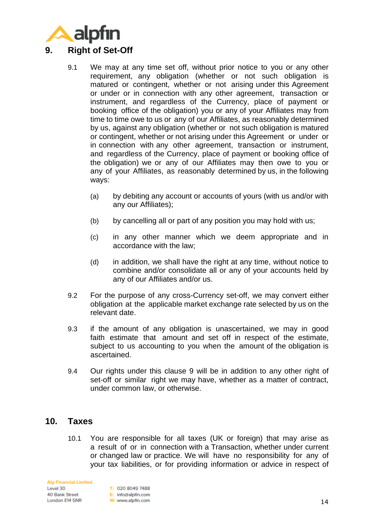<span id="page-13-0"></span>

- 9.1 We may at any time set off, without prior notice to you or any other requirement, any obligation (whether or not such obligation is matured or contingent, whether or not arising under this Agreement or under or in connection with any other agreement, transaction or instrument, and regardless of the Currency, place of payment or booking office of the obligation) you or any of your Affiliates may from time to time owe to us or any of our Affiliates, as reasonably determined by us, against any obligation (whether or not such obligation is matured or contingent, whether or not arising under this Agreement or under or in connection with any other agreement, transaction or instrument, and regardless of the Currency, place of payment or booking office of the obligation) we or any of our Affiliates may then owe to you or any of your Affiliates, as reasonably determined by us, in the following ways:
	- (a) by debiting any account or accounts of yours (with us and/or with any our Affiliates);
	- (b) by cancelling all or part of any position you may hold with us;
	- (c) in any other manner which we deem appropriate and in accordance with the law;
	- (d) in addition, we shall have the right at any time, without notice to combine and/or consolidate all or any of your accounts held by any of our Affiliates and/or us.
- 9.2 For the purpose of any cross-Currency set-off, we may convert either obligation at the applicable market exchange rate selected by us on the relevant date.
- 9.3 if the amount of any obligation is unascertained, we may in good faith estimate that amount and set off in respect of the estimate, subject to us accounting to you when the amount of the obligation is ascertained.
- 9.4 Our rights under this clause [9](#page-13-0) will be in addition to any other right of set-off or similar right we may have, whether as a matter of contract, under common law, or otherwise.

### <span id="page-13-1"></span>**10. Taxes**

10.1 You are responsible for all taxes (UK or foreign) that may arise as a result of or in connection with a Transaction, whether under current or changed law or practice. We will have no responsibility for any of your tax liabilities, or for providing information or advice in respect of

**Alp Financial Limited** Level 30 40 Bank Street London E14 5NR

T: 020 8049 7488 E: info@alpfin.com W: www.alpfin.com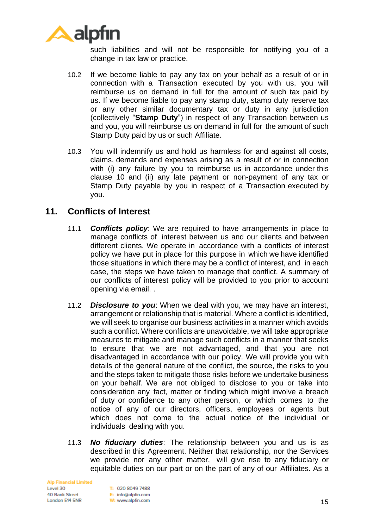

such liabilities and will not be responsible for notifying you of a change in tax law or practice.

- 10.2 If we become liable to pay any tax on your behalf as a result of or in connection with a Transaction executed by you with us, you will reimburse us on demand in full for the amount of such tax paid by us. If we become liable to pay any stamp duty, stamp duty reserve tax or any other similar documentary tax or duty in any jurisdiction (collectively "**Stamp Duty**") in respect of any Transaction between us and you, you will reimburse us on demand in full for the amount of such Stamp Duty paid by us or such Affiliate.
- 10.3 You will indemnify us and hold us harmless for and against all costs, claims, demands and expenses arising as a result of or in connection with (i) any failure by you to reimburse us in accordance under this clause [10](#page-13-1) and (ii) any late payment or non-payment of any tax or Stamp Duty payable by you in respect of a Transaction executed by you.

### **11. Conflicts of Interest**

- 11.1 *Conflicts policy*: We are required to have arrangements in place to manage conflicts of interest between us and our clients and between different clients. We operate in accordance with a conflicts of interest policy we have put in place for this purpose in which we have identified those situations in which there may be a conflict of interest, and in each case, the steps we have taken to manage that conflict. A summary of our conflicts of interest policy will be provided to you prior to account opening via email. .
- 11.2 *Disclosure to you*: When we deal with you, we may have an interest, arrangement or relationship that is material. Where a conflict is identified, we will seek to organise our business activities in a manner which avoids such a conflict. Where conflicts are unavoidable, we will take appropriate measures to mitigate and manage such conflicts in a manner that seeks to ensure that we are not advantaged, and that you are not disadvantaged in accordance with our policy. We will provide you with details of the general nature of the conflict, the source, the risks to you and the steps taken to mitigate those risks before we undertake business on your behalf. We are not obliged to disclose to you or take into consideration any fact, matter or finding which might involve a breach of duty or confidence to any other person, or which comes to the notice of any of our directors, officers, employees or agents but which does not come to the actual notice of the individual or individuals dealing with you.
- 11.3 *No fiduciary duties*: The relationship between you and us is as described in this Agreement. Neither that relationship, nor the Services we provide nor any other matter, will give rise to any fiduciary or equitable duties on our part or on the part of any of our Affiliates. As a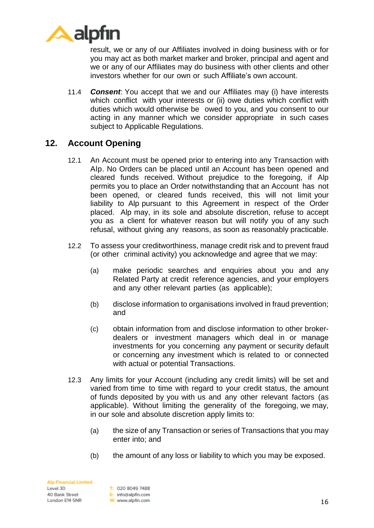

result, we or any of our Affiliates involved in doing business with or for you may act as both market marker and broker, principal and agent and we or any of our Affiliates may do business with other clients and other investors whether for our own or such Affiliate's own account.

<span id="page-15-0"></span>11.4 *Consent*: You accept that we and our Affiliates may (i) have interests which conflict with your interests or (ii) owe duties which conflict with duties which would otherwise be owed to you, and you consent to our acting in any manner which we consider appropriate in such cases subject to Applicable Regulations.

### **12. Account Opening**

- 12.1 An Account must be opened prior to entering into any Transaction with Alp. No Orders can be placed until an Account has been opened and cleared funds received. Without prejudice to the foregoing, if Alp permits you to place an Order notwithstanding that an Account has not been opened, or cleared funds received, this will not limit your liability to Alp pursuant to this Agreement in respect of the Order placed. Alp may, in its sole and absolute discretion, refuse to accept you as a client for whatever reason but will notify you of any such refusal, without giving any reasons, as soon as reasonably practicable.
- 12.2 To assess your creditworthiness, manage credit risk and to prevent fraud (or other criminal activity) you acknowledge and agree that we may:
	- (a) make periodic searches and enquiries about you and any Related Party at credit reference agencies, and your employers and any other relevant parties (as applicable);
	- (b) disclose information to organisations involved in fraud prevention; and
	- (c) obtain information from and disclose information to other brokerdealers or investment managers which deal in or manage investments for you concerning any payment or security default or concerning any investment which is related to or connected with actual or potential Transactions.
- 12.3 Any limits for your Account (including any credit limits) will be set and varied from time to time with regard to your credit status, the amount of funds deposited by you with us and any other relevant factors (as applicable). Without limiting the generality of the foregoing, we may, in our sole and absolute discretion apply limits to:
	- (a) the size of any Transaction or series of Transactions that you may enter into; and
	- (b) the amount of any loss or liability to which you may be exposed.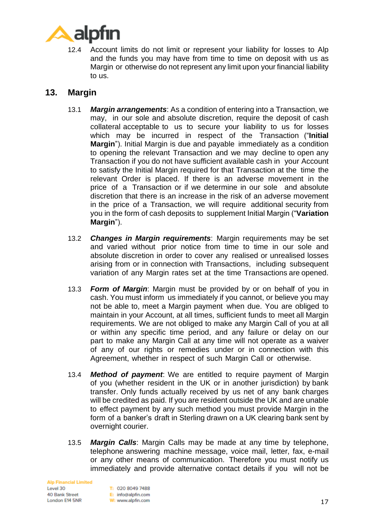

12.4 Account limits do not limit or represent your liability for losses to Alp and the funds you may have from time to time on deposit with us as Margin or otherwise do not represent any limit upon your financial liability to us.

### <span id="page-16-0"></span>**13. Margin**

- 13.1 *Margin arrangements*: As a condition of entering into a Transaction, we may, in our sole and absolute discretion, require the deposit of cash collateral acceptable to us to secure your liability to us for losses which may be incurred in respect of the Transaction ("**Initial Margin**"). Initial Margin is due and payable immediately as a condition to opening the relevant Transaction and we may decline to open any Transaction if you do not have sufficient available cash in your Account to satisfy the Initial Margin required for that Transaction at the time the relevant Order is placed. If there is an adverse movement in the price of a Transaction or if we determine in our sole and absolute discretion that there is an increase in the risk of an adverse movement in the price of a Transaction, we will require additional security from you in the form of cash deposits to supplement Initial Margin ("**Variation Margin**").
- 13.2 *Changes in Margin requirements*: Margin requirements may be set and varied without prior notice from time to time in our sole and absolute discretion in order to cover any realised or unrealised losses arising from or in connection with Transactions, including subsequent variation of any Margin rates set at the time Transactions are opened.
- 13.3 *Form of Margin*: Margin must be provided by or on behalf of you in cash. You must inform us immediately if you cannot, or believe you may not be able to, meet a Margin payment when due. You are obliged to maintain in your Account, at all times, sufficient funds to meet all Margin requirements. We are not obliged to make any Margin Call of you at all or within any specific time period, and any failure or delay on our part to make any Margin Call at any time will not operate as a waiver of any of our rights or remedies under or in connection with this Agreement, whether in respect of such Margin Call or otherwise.
- 13.4 *Method of payment*: We are entitled to require payment of Margin of you (whether resident in the UK or in another jurisdiction) by bank transfer. Only funds actually received by us net of any bank charges will be credited as paid. If you are resident outside the UK and are unable to effect payment by any such method you must provide Margin in the form of a banker's draft in Sterling drawn on a UK clearing bank sent by overnight courier.
- 13.5 *Margin Calls*: Margin Calls may be made at any time by telephone, telephone answering machine message, voice mail, letter, fax, e-mail or any other means of communication. Therefore you must notify us immediately and provide alternative contact details if you will not be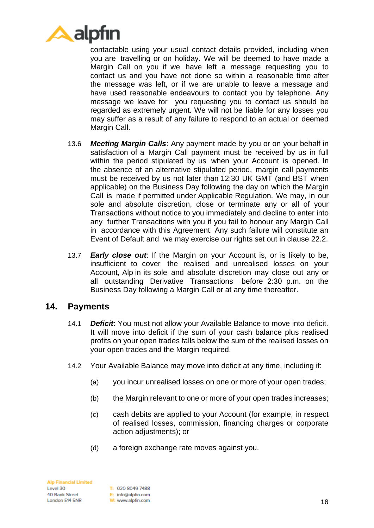

contactable using your usual contact details provided, including when you are travelling or on holiday. We will be deemed to have made a Margin Call on you if we have left a message requesting you to contact us and you have not done so within a reasonable time after the message was left, or if we are unable to leave a message and have used reasonable endeavours to contact you by telephone. Any message we leave for you requesting you to contact us should be regarded as extremely urgent. We will not be liable for any losses you may suffer as a result of any failure to respond to an actual or deemed Margin Call.

- 13.6 *Meeting Margin Calls*: Any payment made by you or on your behalf in satisfaction of a Margin Call payment must be received by us in full within the period stipulated by us when your Account is opened. In the absence of an alternative stipulated period, margin call payments must be received by us not later than 12:30 UK GMT (and BST when applicable) on the Business Day following the day on which the Margin Call is made if permitted under Applicable Regulation. We may, in our sole and absolute discretion, close or terminate any or all of your Transactions without notice to you immediately and decline to enter into any further Transactions with you if you fail to honour any Margin Call in accordance with this Agreement. Any such failure will constitute an Event of Default and we may exercise our rights set out in clause [22.2.](#page-29-0)
- 13.7 *Early close out*: If the Margin on your Account is, or is likely to be, insufficient to cover the realised and unrealised losses on your Account, Alp in its sole and absolute discretion may close out any or all outstanding Derivative Transactions before 2:30 p.m. on the Business Day following a Margin Call or at any time thereafter.

#### **14. Payments**

- 14.1 *Deficit*: You must not allow your Available Balance to move into deficit. It will move into deficit if the sum of your cash balance plus realised profits on your open trades falls below the sum of the realised losses on your open trades and the Margin required.
- 14.2 Your Available Balance may move into deficit at any time, including if:
	- (a) you incur unrealised losses on one or more of your open trades;
	- (b) the Margin relevant to one or more of your open trades increases;
	- (c) cash debits are applied to your Account (for example, in respect of realised losses, commission, financing charges or corporate action adjustments); or
	- (d) a foreign exchange rate moves against you.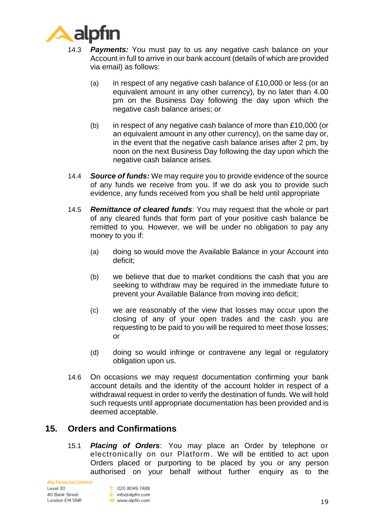

- 14.3 *Payments:* You must pay to us any negative cash balance on your Account in full to arrive in our bank account (details of which are provided via email) as follows:
	- (a) in respect of any negative cash balance of £10,000 or less (or an equivalent amount in any other currency), by no later than 4.00 pm on the Business Day following the day upon which the negative cash balance arises; or
	- (b) in respect of any negative cash balance of more than £10,000 (or an equivalent amount in any other currency), on the same day or, in the event that the negative cash balance arises after 2 pm, by noon on the next Business Day following the day upon which the negative cash balance arises.
- 14.4 *Source of funds:* We may require you to provide evidence of the source of any funds we receive from you. If we do ask you to provide such evidence, any funds received from you shall be held until appropriate
- 14.5 *Remittance of cleared funds*: You may request that the whole or part of any cleared funds that form part of your positive cash balance be remitted to you. However, we will be under no obligation to pay any money to you if:
	- (a) doing so would move the Available Balance in your Account into deficit;
	- (b) we believe that due to market conditions the cash that you are seeking to withdraw may be required in the immediate future to prevent your Available Balance from moving into deficit;
	- (c) we are reasonably of the view that losses may occur upon the closing of any of your open trades and the cash you are requesting to be paid to you will be required to meet those losses; or
	- (d) doing so would infringe or contravene any legal or regulatory obligation upon us.
- 14.6 On occasions we may request documentation confirming your bank account details and the identity of the account holder in respect of a withdrawal request in order to verify the destination of funds. We will hold such requests until appropriate documentation has been provided and is deemed acceptable.

# **15. Orders and Confirmations**

15.1 *Placing of Orders*: You may place an Order by telephone or electronically on our Platform. We will be entitled to act upon Orders placed or purporting to be placed by you or any person authorised on your behalf without further enquiry as to the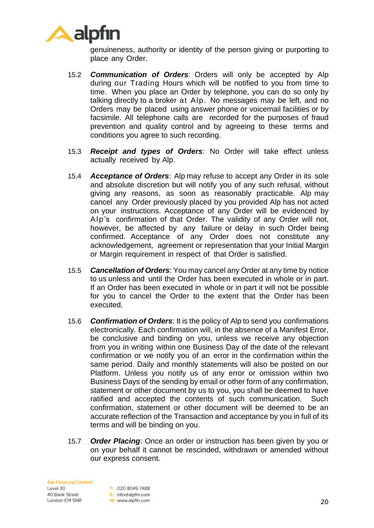

genuineness, authority or identity of the person giving or purporting to place any Order.

- 15.2 *Communication of Orders*: Orders will only be accepted by Alp during our Trading Hours which will be notified to you from time to time. When you place an Order by telephone, you can do so only by talking directly to a broker at Alp. No messages may be left, and no Orders may be placed using answer phone or voicemail facilities or by facsimile. All telephone calls are recorded for the purposes of fraud prevention and quality control and by agreeing to these terms and conditions you agree to such recording.
- 15.3 *Receipt and types of Orders*: No Order will take effect unless actually received by Alp.
- 15.4 *Acceptance of Orders*: Alp may refuse to accept any Order in its sole and absolute discretion but will notify you of any such refusal, without giving any reasons, as soon as reasonably practicable. Alp may cancel any Order previously placed by you provided Alp has not acted on your instructions. Acceptance of any Order will be evidenced by Alp's confirmation of that Order. The validity of any Order will not, however, be affected by any failure or delay in such Order being confirmed. Acceptance of any Order does not constitute any acknowledgement, agreement or representation that your Initial Margin or Margin requirement in respect of that Order is satisfied.
- 15.5 *Cancellation of Orders*: You may cancel any Order at any time by notice to us unless and until the Order has been executed in whole or in part. If an Order has been executed in whole or in part it will not be possible for you to cancel the Order to the extent that the Order has been executed.
- 15.6 *Confirmation of Orders*: It is the policy of Alp to send you confirmations electronically. Each confirmation will, in the absence of a Manifest Error, be conclusive and binding on you, unless we receive any objection from you in writing within one Business Day of the date of the relevant confirmation or we notify you of an error in the confirmation within the same period. Daily and monthly statements will also be posted on our Platform. Unless you notify us of any error or omission within two Business Days of the sending by email or other form of any confirmation, statement or other document by us to you, you shall be deemed to have ratified and accepted the contents of such communication. Such confirmation, statement or other document will be deemed to be an accurate reflection of the Transaction and acceptance by you in full of its terms and will be binding on you.
- 15.7 *Order Placing*: Once an order or instruction has been given by you or on your behalf it cannot be rescinded, withdrawn or amended without our express consent.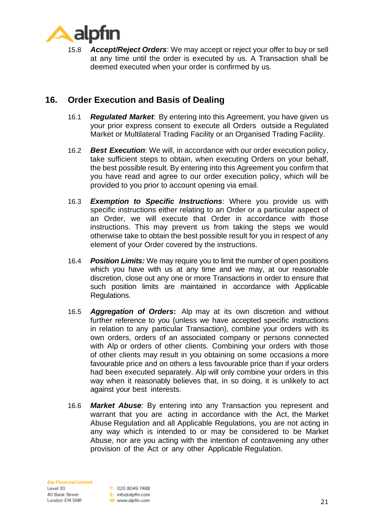

15.8 *Accept/Reject Orders*: We may accept or reject your offer to buy or sell at any time until the order is executed by us. A Transaction shall be deemed executed when your order is confirmed by us.

# **16. Order Execution and Basis of Dealing**

- 16.1 *Regulated Market*: By entering into this Agreement, you have given us your prior express consent to execute all Orders outside a Regulated Market or Multilateral Trading Facility or an Organised Trading Facility.
- 16.2 *Best Execution*: We will, in accordance with our order execution policy, take sufficient steps to obtain, when executing Orders on your behalf, the best possible result. By entering into this Agreement you confirm that you have read and agree to our order execution policy, which will be provided to you prior to account opening via email.
- 16.3 *Exemption to Specific Instructions*: Where you provide us with specific instructions either relating to an Order or a particular aspect of an Order, we will execute that Order in accordance with those instructions. This may prevent us from taking the steps we would otherwise take to obtain the best possible result for you in respect of any element of your Order covered by the instructions.
- 16.4 *Position Limits:* We may require you to limit the number of open positions which you have with us at any time and we may, at our reasonable discretion, close out any one or more Transactions in order to ensure that such position limits are maintained in accordance with Applicable Regulations.
- 16.5 *Aggregation of Orders***:** Alp may at its own discretion and without further reference to you (unless we have accepted specific instructions in relation to any particular Transaction), combine your orders with its own orders, orders of an associated company or persons connected with Alp or orders of other clients. Combining your orders with those of other clients may result in you obtaining on some occasions a more favourable price and on others a less favourable price than if your orders had been executed separately. Alp will only combine your orders in this way when it reasonably believes that, in so doing, it is unlikely to act against your best interests.
- <span id="page-20-0"></span>16.6 *Market Abuse:* By entering into any Transaction you represent and warrant that you are acting in accordance with the Act, the Market Abuse Regulation and all Applicable Regulations, you are not acting in any way which is intended to or may be considered to be Market Abuse, nor are you acting with the intention of contravening any other provision of the Act or any other Applicable Regulation.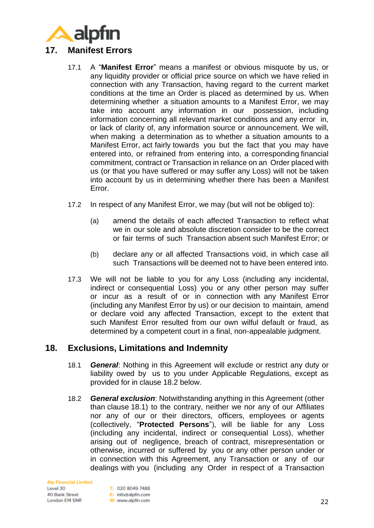

- <span id="page-21-0"></span>17.1 A "**Manifest Error**" means a manifest or obvious misquote by us, or any liquidity provider or official price source on which we have relied in connection with any Transaction, having regard to the current market conditions at the time an Order is placed as determined by us. When determining whether a situation amounts to a Manifest Error, we may take into account any information in our possession, including information concerning all relevant market conditions and any error in, or lack of clarity of, any information source or announcement. We will, when making a determination as to whether a situation amounts to a Manifest Error, act fairly towards you but the fact that you may have entered into, or refrained from entering into, a corresponding financial commitment, contract or Transaction in reliance on an Order placed with us (or that you have suffered or may suffer any Loss) will not be taken into account by us in determining whether there has been a Manifest Error.
- 17.2 In respect of any Manifest Error, we may (but will not be obliged to):
	- (a) amend the details of each affected Transaction to reflect what we in our sole and absolute discretion consider to be the correct or fair terms of such Transaction absent such Manifest Error; or
	- (b) declare any or all affected Transactions void, in which case all such Transactions will be deemed not to have been entered into.
- 17.3 We will not be liable to you for any Loss (including any incidental, indirect or consequential Loss) you or any other person may suffer or incur as a result of or in connection with any Manifest Error (including any Manifest Error by us) or our decision to maintain, amend or declare void any affected Transaction, except to the extent that such Manifest Error resulted from our own wilful default or fraud, as determined by a competent court in a final, non-appealable judgment.

#### <span id="page-21-2"></span>**18. Exclusions, Limitations and Indemnity**

- 18.1 *General*: Nothing in this Agreement will exclude or restrict any duty or liability owed by us to you under Applicable Regulations, except as provided for in clause [18.2](#page-21-1) below.
- <span id="page-21-1"></span>18.2 *General exclusion*: Notwithstanding anything in this Agreement (other than clause [18.1\)](#page-21-2) to the contrary, neither we nor any of our Affiliates nor any of our or their directors, officers, employees or agents (collectively, "**Protected Persons**"), will be liable for any Loss (including any incidental, indirect or consequential Loss), whether arising out of negligence, breach of contract, misrepresentation or otherwise, incurred or suffered by you or any other person under or in connection with this Agreement, any Transaction or any of our dealings with you (including any Order in respect of a Transaction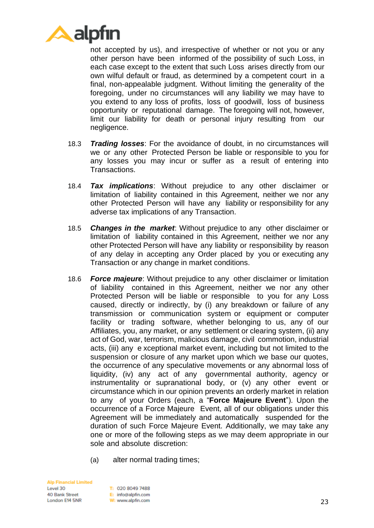

not accepted by us), and irrespective of whether or not you or any other person have been informed of the possibility of such Loss, in each case except to the extent that such Loss arises directly from our own wilful default or fraud, as determined by a competent court in a final, non-appealable judgment. Without limiting the generality of the foregoing, under no circumstances will any liability we may have to you extend to any loss of profits, loss of goodwill, loss of business opportunity or reputational damage. The foregoing will not, however, limit our liability for death or personal injury resulting from our negligence.

- 18.3 *Trading losses*: For the avoidance of doubt, in no circumstances will we or any other Protected Person be liable or responsible to you for any losses you may incur or suffer as a result of entering into Transactions.
- 18.4 *Tax implications*: Without prejudice to any other disclaimer or limitation of liability contained in this Agreement, neither we nor any other Protected Person will have any liability or responsibility for any adverse tax implications of any Transaction.
- 18.5 *Changes in the market*: Without prejudice to any other disclaimer or limitation of liability contained in this Agreement, neither we nor any other Protected Person will have any liability or responsibility by reason of any delay in accepting any Order placed by you or executing any Transaction or any change in market conditions.
- <span id="page-22-0"></span>18.6 *Force majeure*: Without prejudice to any other disclaimer or limitation of liability contained in this Agreement, neither we nor any other Protected Person will be liable or responsible to you for any Loss caused, directly or indirectly, by (i) any breakdown or failure of any transmission or communication system or equipment or computer facility or trading software, whether belonging to us, any of our Affiliates, you, any market, or any settlement or clearing system, (ii) any act of God, war, terrorism, malicious damage, civil commotion, industrial acts, (iii) any e xceptional market event, including but not limited to the suspension or closure of any market upon which we base our quotes, the occurrence of any speculative movements or any abnormal loss of liquidity, (iv) any act of any governmental authority, agency or instrumentality or supranational body, or (v) any other event or circumstance which in our opinion prevents an orderly market in relation to any of your Orders (each, a "**Force Majeure Event**"). Upon the occurrence of a Force Majeure Event, all of our obligations under this Agreement will be immediately and automatically suspended for the duration of such Force Majeure Event. Additionally, we may take any one or more of the following steps as we may deem appropriate in our sole and absolute discretion:
	- (a) alter normal trading times;

**Alp Financial Limited** Level 30 40 Bank Street London E14 5NR

T: 020 8049 7488 E: info@alpfin.com W: www.alpfin.com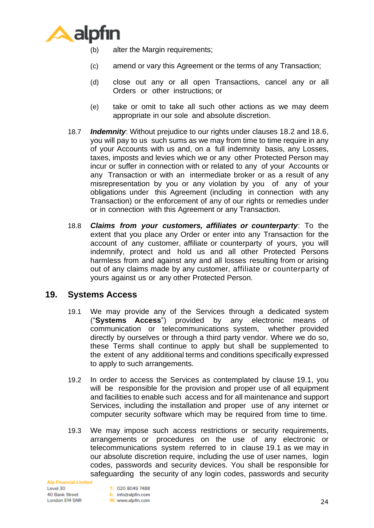

- (b) alter the Margin requirements;
- (c) amend or vary this Agreement or the terms of any Transaction;
- (d) close out any or all open Transactions, cancel any or all Orders or other instructions; or
- (e) take or omit to take all such other actions as we may deem appropriate in our sole and absolute discretion.
- 18.7 *Indemnity*: Without prejudice to our rights under clauses [18.2](#page-21-1) and [18.6,](#page-22-0) you will pay to us such sums as we may from time to time require in any of your Accounts with us and, on a full indemnity basis, any Losses, taxes, imposts and levies which we or any other Protected Person may incur or suffer in connection with or related to any of your Accounts or any Transaction or with an intermediate broker or as a result of any misrepresentation by you or any violation by you of any of your obligations under this Agreement (including in connection with any Transaction) or the enforcement of any of our rights or remedies under or in connection with this Agreement or any Transaction.
- 18.8 *Claims from your customers, affiliates or counterparty*: To the extent that you place any Order or enter into any Transaction for the account of any customer, affiliate or counterparty of yours, you will indemnify, protect and hold us and all other Protected Persons harmless from and against any and all losses resulting from or arising out of any claims made by any customer, affiliate or counterparty of yours against us or any other Protected Person.

### <span id="page-23-0"></span>**19. Systems Access**

- 19.1 We may provide any of the Services through a dedicated system ("**Systems Access**") provided by any electronic means of communication or telecommunications system, whether provided directly by ourselves or through a third party vendor. Where we do so, these Terms shall continue to apply but shall be supplemented to the extent of any additional terms and conditions specifically expressed to apply to such arrangements.
- <span id="page-23-1"></span>19.2 In order to access the Services as contemplated by clause [19.1,](#page-23-0) you will be responsible for the provision and proper use of all equipment and facilities to enable such access and for all maintenance and support Services, including the installation and proper use of any internet or computer security software which may be required from time to time.
- 19.3 We may impose such access restrictions or security requirements, arrangements or procedures on the use of any electronic or telecommunications system referred to in clause [19.1](#page-23-0) as we may in our absolute discretion require, including the use of user names, login codes, passwords and security devices. You shall be responsible for safeguarding the security of any login codes, passwords and security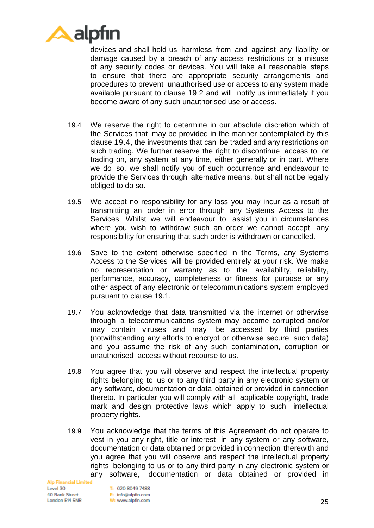

devices and shall hold us harmless from and against any liability or damage caused by a breach of any access restrictions or a misuse of any security codes or devices. You will take all reasonable steps to ensure that there are appropriate security arrangements and procedures to prevent unauthorised use or access to any system made available pursuant to clause [19.2](#page-23-1) and will notify us immediately if you become aware of any such unauthorised use or access.

- <span id="page-24-0"></span>19.4 We reserve the right to determine in our absolute discretion which of the Services that may be provided in the manner contemplated by this clause [19.4,](#page-24-0) the investments that can be traded and any restrictions on such trading. We further reserve the right to discontinue access to, or trading on, any system at any time, either generally or in part. Where we do so, we shall notify you of such occurrence and endeavour to provide the Services through alternative means, but shall not be legally obliged to do so.
- 19.5 We accept no responsibility for any loss you may incur as a result of transmitting an order in error through any Systems Access to the Services. Whilst we will endeavour to assist you in circumstances where you wish to withdraw such an order we cannot accept any responsibility for ensuring that such order is withdrawn or cancelled.
- 19.6 Save to the extent otherwise specified in the Terms, any Systems Access to the Services will be provided entirely at your risk. We make no representation or warranty as to the availability, reliability, performance, accuracy, completeness or fitness for purpose or any other aspect of any electronic or telecommunications system employed pursuant to clause [19.1.](#page-23-0)
- 19.7 You acknowledge that data transmitted via the internet or otherwise through a telecommunications system may become corrupted and/or may contain viruses and may be accessed by third parties (notwithstanding any efforts to encrypt or otherwise secure such data) and you assume the risk of any such contamination, corruption or unauthorised access without recourse to us.
- 19.8 You agree that you will observe and respect the intellectual property rights belonging to us or to any third party in any electronic system or any software, documentation or data obtained or provided in connection thereto. In particular you will comply with all applicable copyright, trade mark and design protective laws which apply to such intellectual property rights.
- 19.9 You acknowledge that the terms of this Agreement do not operate to vest in you any right, title or interest in any system or any software, documentation or data obtained or provided in connection therewith and you agree that you will observe and respect the intellectual property rights belonging to us or to any third party in any electronic system or any software, documentation or data obtained or provided in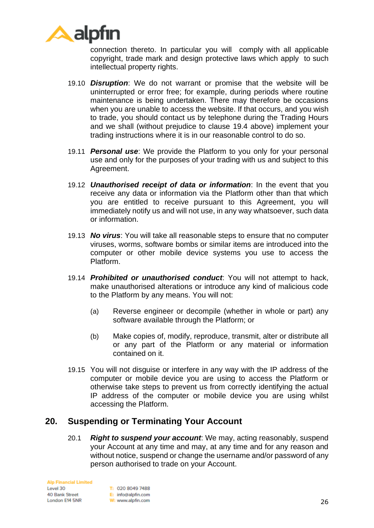

connection thereto. In particular you will comply with all applicable copyright, trade mark and design protective laws which apply to such intellectual property rights.

- 19.10 *Disruption*: We do not warrant or promise that the website will be uninterrupted or error free; for example, during periods where routine maintenance is being undertaken. There may therefore be occasions when you are unable to access the website. If that occurs, and you wish to trade, you should contact us by telephone during the Trading Hours and we shall (without prejudice to clause [19.4](#page-24-0) [above\)](#page-15-0) implement your trading instructions where it is in our reasonable control to do so.
- 19.11 *Personal use*: We provide the Platform to you only for your personal use and only for the purposes of your trading with us and subject to this Agreement.
- 19.12 *Unauthorised receipt of data or information*: In the event that you receive any data or information via the Platform other than that which you are entitled to receive pursuant to this Agreement, you will immediately notify us and will not use, in any way whatsoever, such data or information.
- 19.13 *No virus*: You will take all reasonable steps to ensure that no computer viruses, worms, software bombs or similar items are introduced into the computer or other mobile device systems you use to access the Platform.
- 19.14 *Prohibited or unauthorised conduct*: You will not attempt to hack, make unauthorised alterations or introduce any kind of malicious code to the Platform by any means. You will not:
	- (a) Reverse engineer or decompile (whether in whole or part) any software available through the Platform; or
	- (b) Make copies of, modify, reproduce, transmit, alter or distribute all or any part of the Platform or any material or information contained on it.
- 19.15 You will not disguise or interfere in any way with the IP address of the computer or mobile device you are using to access the Platform or otherwise take steps to prevent us from correctly identifying the actual IP address of the computer or mobile device you are using whilst accessing the Platform.

### **20. Suspending or Terminating Your Account**

20.1 *Right to suspend your account*: We may, acting reasonably, suspend your Account at any time and may, at any time and for any reason and without notice, suspend or change the username and/or password of any person authorised to trade on your Account.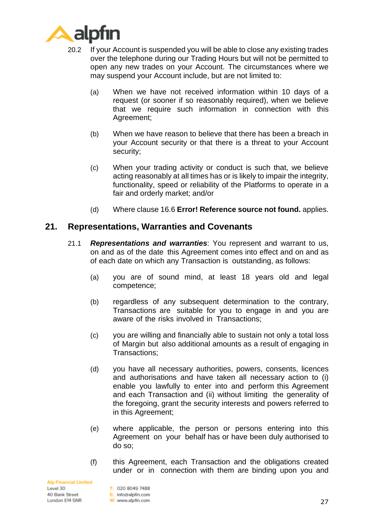

- 20.2 If your Account is suspended you will be able to close any existing trades over the telephone during our Trading Hours but will not be permitted to open any new trades on your Account. The circumstances where we may suspend your Account include, but are not limited to:
	- (a) When we have not received information within 10 days of a request (or sooner if so reasonably required), when we believe that we require such information in connection with this Agreement;
	- (b) When we have reason to believe that there has been a breach in your Account security or that there is a threat to your Account security;
	- (c) When your trading activity or conduct is such that, we believe acting reasonably at all times has or is likely to impair the integrity, functionality, speed or reliability of the Platforms to operate in a fair and orderly market; and/or
	- (d) Where clause [16.6](#page-20-0) **Error! Reference source not found.** applies.

#### <span id="page-26-0"></span>**21. Representations, Warranties and Covenants**

- 21.1 *Representations and warranties*: You represent and warrant to us, on and as of the date this Agreement comes into effect and on and as of each date on which any Transaction is outstanding, as follows:
	- (a) you are of sound mind, at least 18 years old and legal competence;
	- (b) regardless of any subsequent determination to the contrary, Transactions are suitable for you to engage in and you are aware of the risks involved in Transactions;
	- (c) you are willing and financially able to sustain not only a total loss of Margin but also additional amounts as a result of engaging in Transactions;
	- (d) you have all necessary authorities, powers, consents, licences and authorisations and have taken all necessary action to (i) enable you lawfully to enter into and perform this Agreement and each Transaction and (ii) without limiting the generality of the foregoing, grant the security interests and powers referred to in this Agreement;
	- (e) where applicable, the person or persons entering into this Agreement on your behalf has or have been duly authorised to do so;
	- (f) this Agreement, each Transaction and the obligations created under or in connection with them are binding upon you and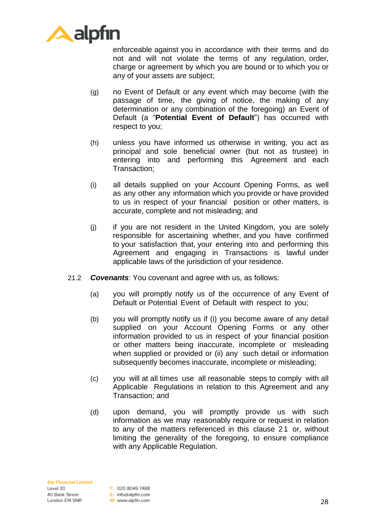

enforceable against you in accordance with their terms and do not and will not violate the terms of any regulation, order, charge or agreement by which you are bound or to which you or any of your assets are subject;

- (g) no Event of Default or any event which may become (with the passage of time, the giving of notice, the making of any determination or any combination of the foregoing) an Event of Default (a "**Potential Event of Default**") has occurred with respect to you;
- (h) unless you have informed us otherwise in writing, you act as principal and sole beneficial owner (but not as trustee) in entering into and performing this Agreement and each Transaction;
- (i) all details supplied on your Account Opening Forms, as well as any other any information which you provide or have provided to us in respect of your financial position or other matters, is accurate, complete and not misleading; and
- (j) if you are not resident in the United Kingdom, you are solely responsible for ascertaining whether, and you have confirmed to your satisfaction that, your entering into and performing this Agreement and engaging in Transactions is lawful under applicable laws of the jurisdiction of your residence.
- 21.2 *Covenants*: You covenant and agree with us, as follows:
	- (a) you will promptly notify us of the occurrence of any Event of Default or Potential Event of Default with respect to you;
	- (b) you will promptly notify us if (i) you become aware of any detail supplied on your Account Opening Forms or any other information provided to us in respect of your financial position or other matters being inaccurate, incomplete or misleading when supplied or provided or (ii) any such detail or information subsequently becomes inaccurate, incomplete or misleading;
	- (c) you will at all times use all reasonable steps to comply with all Applicable Regulations in relation to this Agreement and any Transaction; and
	- (d) upon demand, you will promptly provide us with such information as we may reasonably require or request in relation to any of the matters referenced in this clause 21 or, without limiting the generality of the foregoing, to ensure compliance with any Applicable Regulation.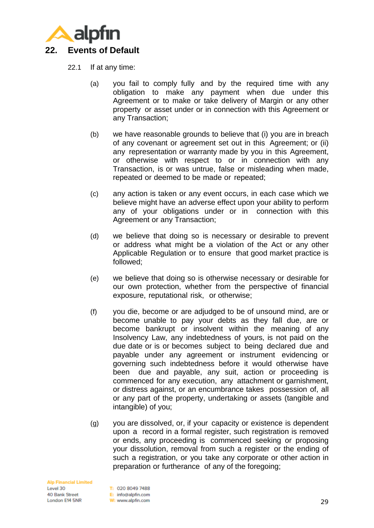<span id="page-28-1"></span>

- <span id="page-28-0"></span>22.1 If at any time:
	- (a) you fail to comply fully and by the required time with any obligation to make any payment when due under this Agreement or to make or take delivery of Margin or any other property or asset under or in connection with this Agreement or any Transaction;
	- (b) we have reasonable grounds to believe that (i) you are in breach of any covenant or agreement set out in this Agreement; or (ii) any representation or warranty made by you in this Agreement, or otherwise with respect to or in connection with any Transaction, is or was untrue, false or misleading when made, repeated or deemed to be made or repeated;
	- (c) any action is taken or any event occurs, in each case which we believe might have an adverse effect upon your ability to perform any of your obligations under or in connection with this Agreement or any Transaction;
	- (d) we believe that doing so is necessary or desirable to prevent or address what might be a violation of the Act or any other Applicable Regulation or to ensure that good market practice is followed;
	- (e) we believe that doing so is otherwise necessary or desirable for our own protection, whether from the perspective of financial exposure, reputational risk, or otherwise;
	- (f) you die, become or are adjudged to be of unsound mind, are or become unable to pay your debts as they fall due, are or become bankrupt or insolvent within the meaning of any Insolvency Law, any indebtedness of yours, is not paid on the due date or is or becomes subject to being declared due and payable under any agreement or instrument evidencing or governing such indebtedness before it would otherwise have been due and payable, any suit, action or proceeding is commenced for any execution, any attachment or garnishment, or distress against, or an encumbrance takes possession of, all or any part of the property, undertaking or assets (tangible and intangible) of you;
	- (g) you are dissolved, or, if your capacity or existence is dependent upon a record in a formal register, such registration is removed or ends, any proceeding is commenced seeking or proposing your dissolution, removal from such a register or the ending of such a registration, or you take any corporate or other action in preparation or furtherance of any of the foregoing;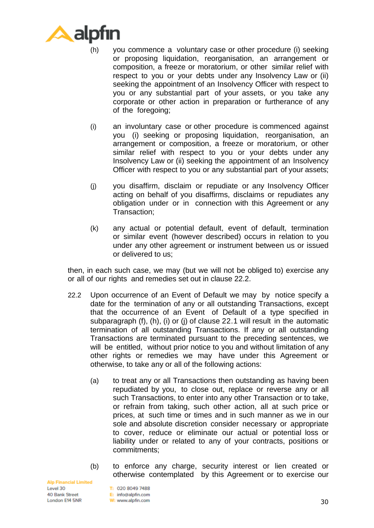

- (h) you commence a voluntary case or other procedure (i) seeking or proposing liquidation, reorganisation, an arrangement or composition, a freeze or moratorium, or other similar relief with respect to you or your debts under any Insolvency Law or (ii) seeking the appointment of an Insolvency Officer with respect to you or any substantial part of your assets, or you take any corporate or other action in preparation or furtherance of any of the foregoing;
- (i) an involuntary case or other procedure is commenced against you (i) seeking or proposing liquidation, reorganisation, an arrangement or composition, a freeze or moratorium, or other similar relief with respect to you or your debts under any Insolvency Law or (ii) seeking the appointment of an Insolvency Officer with respect to you or any substantial part of your assets;
- (j) you disaffirm, disclaim or repudiate or any Insolvency Officer acting on behalf of you disaffirms, disclaims or repudiates any obligation under or in connection with this Agreement or any Transaction;
- (k) any actual or potential default, event of default, termination or similar event (however described) occurs in relation to you under any other agreement or instrument between us or issued or delivered to us;

then, in each such case, we may (but we will not be obliged to) exercise any or all of our rights and remedies set out in clause [22.2.](#page-29-0)

- <span id="page-29-0"></span>22.2 Upon occurrence of an Event of Default we may by notice specify a date for the termination of any or all outstanding Transactions, except that the occurrence of an Event of Default of a type specified in subparagraph (f), (h), (i) or (j) of clause [22.1](#page-28-0) will result in the automatic termination of all outstanding Transactions. If any or all outstanding Transactions are terminated pursuant to the preceding sentences, we will be entitled, without prior notice to you and without limitation of any other rights or remedies we may have under this Agreement or otherwise, to take any or all of the following actions:
	- (a) to treat any or all Transactions then outstanding as having been repudiated by you, to close out, replace or reverse any or all such Transactions, to enter into any other Transaction or to take, or refrain from taking, such other action, all at such price or prices, at such time or times and in such manner as we in our sole and absolute discretion consider necessary or appropriate to cover, reduce or eliminate our actual or potential loss or liability under or related to any of your contracts, positions or commitments;
	- (b) to enforce any charge, security interest or lien created or otherwise contemplated by this Agreement or to exercise our

**Alp Financial Limited** Level 30 40 Bank Street London E14 5NR

T: 020 8049 7488 E: info@alpfin.com W: www.alpfin.com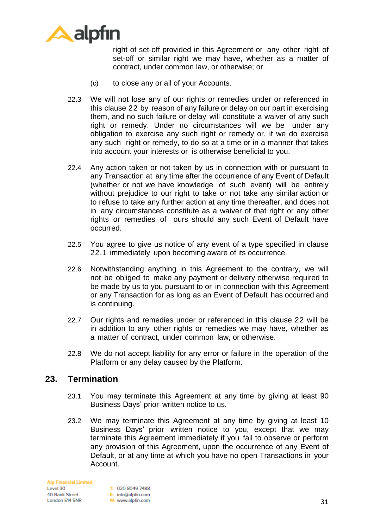

right of set-off provided in this Agreement or any other right of set-off or similar right we may have, whether as a matter of contract, under common law, or otherwise; or

- (c) to close any or all of your Accounts.
- 22.3 We will not lose any of our rights or remedies under or referenced in this clause [22](#page-28-1) by reason of any failure or delay on our part in exercising them, and no such failure or delay will constitute a waiver of any such right or remedy. Under no circumstances will we be under any obligation to exercise any such right or remedy or, if we do exercise any such right or remedy, to do so at a time or in a manner that takes into account your interests or is otherwise beneficial to you.
- 22.4 Any action taken or not taken by us in connection with or pursuant to any Transaction at any time after the occurrence of any Event of Default (whether or not we have knowledge of such event) will be entirely without prejudice to our right to take or not take any similar action or to refuse to take any further action at any time thereafter, and does not in any circumstances constitute as a waiver of that right or any other rights or remedies of ours should any such Event of Default have occurred.
- 22.5 You agree to give us notice of any event of a type specified in clause [22.1](#page-28-0) immediately upon becoming aware of its occurrence.
- 22.6 Notwithstanding anything in this Agreement to the contrary, we will not be obliged to make any payment or delivery otherwise required to be made by us to you pursuant to or in connection with this Agreement or any Transaction for as long as an Event of Default has occurred and is continuing.
- 22.7 Our rights and remedies under or referenced in this clause [22](#page-28-1) will be in addition to any other rights or remedies we may have, whether as a matter of contract, under common law, or otherwise.
- 22.8 We do not accept liability for any error or failure in the operation of the Platform or any delay caused by the Platform.

#### **23. Termination**

- 23.1 You may terminate this Agreement at any time by giving at least 90 Business Days' prior written notice to us.
- 23.2 We may terminate this Agreement at any time by giving at least 10 Business Days' prior written notice to you, except that we may terminate this Agreement immediately if you fail to observe or perform any provision of this Agreement, upon the occurrence of any Event of Default, or at any time at which you have no open Transactions in your Account.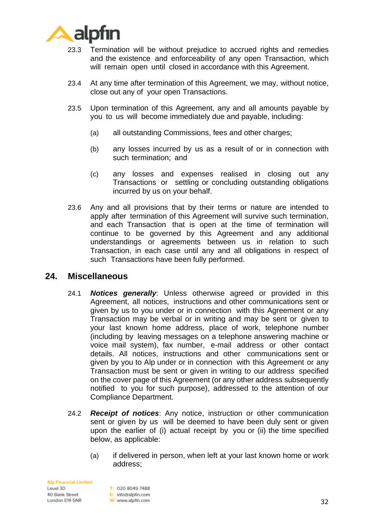

- 23.3 Termination will be without prejudice to accrued rights and remedies and the existence and enforceability of any open Transaction, which will remain open until closed in accordance with this Agreement.
- 23.4 At any time after termination of this Agreement, we may, without notice, close out any of your open Transactions.
- 23.5 Upon termination of this Agreement, any and all amounts payable by you to us will become immediately due and payable, including:
	- (a) all outstanding Commissions, fees and other charges;
	- (b) any losses incurred by us as a result of or in connection with such termination; and
	- (c) any losses and expenses realised in closing out any Transactions or settling or concluding outstanding obligations incurred by us on your behalf.
- 23.6 Any and all provisions that by their terms or nature are intended to apply after termination of this Agreement will survive such termination, and each Transaction that is open at the time of termination will continue to be governed by this Agreement and any additional understandings or agreements between us in relation to such Transaction, in each case until any and all obligations in respect of such Transactions have been fully performed.

#### <span id="page-31-0"></span>**24. Miscellaneous**

- 24.1 *Notices generally*: Unless otherwise agreed or provided in this Agreement, all notices, instructions and other communications sent or given by us to you under or in connection with this Agreement or any Transaction may be verbal or in writing and may be sent or given to your last known home address, place of work, telephone number (including by leaving messages on a telephone answering machine or voice mail system), fax number, e-mail address or other contact details. All notices, instructions and other communications sent or given by you to Alp under or in connection with this Agreement or any Transaction must be sent or given in writing to our address specified on the cover page of this Agreement (or any other address subsequently notified to you for such purpose), addressed to the attention of our Compliance Department.
- 24.2 *Receipt of notices*: Any notice, instruction or other communication sent or given by us will be deemed to have been duly sent or given upon the earlier of (i) actual receipt by you or (ii) the time specified below, as applicable:
	- (a) if delivered in person, when left at your last known home or work address;

**Alp Financial Limited** Level 30 40 Bank Street London E14 5NR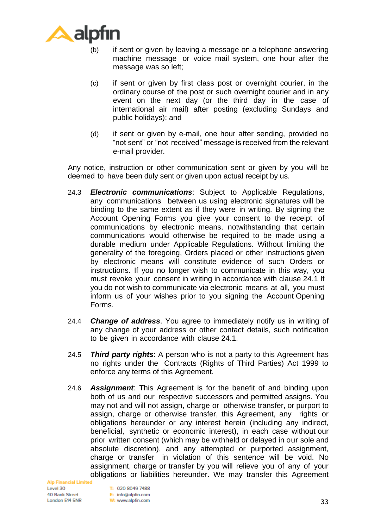

- (b) if sent or given by leaving a message on a telephone answering machine message or voice mail system, one hour after the message was so left;
- (c) if sent or given by first class post or overnight courier, in the ordinary course of the post or such overnight courier and in any event on the next day (or the third day in the case of international air mail) after posting (excluding Sundays and public holidays); and
- (d) if sent or given by e-mail, one hour after sending, provided no "not sent" or "not received" message is received from the relevant e-mail provider.

Any notice, instruction or other communication sent or given by you will be deemed to have been duly sent or given upon actual receipt by us.

- 24.3 *Electronic communications*: Subject to Applicable Regulations, any communications between us using electronic signatures will be binding to the same extent as if they were in writing. By signing the Account Opening Forms you give your consent to the receipt of communications by electronic means, notwithstanding that certain communications would otherwise be required to be made using a durable medium under Applicable Regulations. Without limiting the generality of the foregoing, Orders placed or other instructions given by electronic means will constitute evidence of such Orders or instructions. If you no longer wish to communicate in this way, you must revoke your consent in writing in accordance with clause [24.1](#page-31-0) If you do not wish to communicate via electronic means at all, you must inform us of your wishes prior to you signing the Account Opening Forms.
- 24.4 *Change of address*. You agree to immediately notify us in writing of any change of your address or other contact details, such notification to be given in accordance with clause [24.1.](#page-31-0)
- 24.5 *Third party rights*: A person who is not a party to this Agreement has no rights under the Contracts (Rights of Third Parties) Act 1999 to enforce any terms of this Agreement.
- 24.6 *Assignment*: This Agreement is for the benefit of and binding upon both of us and our respective successors and permitted assigns. You may not and will not assign, charge or otherwise transfer, or purport to assign, charge or otherwise transfer, this Agreement, any rights or obligations hereunder or any interest herein (including any indirect, beneficial, synthetic or economic interest), in each case without our prior written consent (which may be withheld or delayed in our sole and absolute discretion), and any attempted or purported assignment, charge or transfer in violation of this sentence will be void. No assignment, charge or transfer by you will relieve you of any of your obligations or liabilities hereunder. We may transfer this Agreement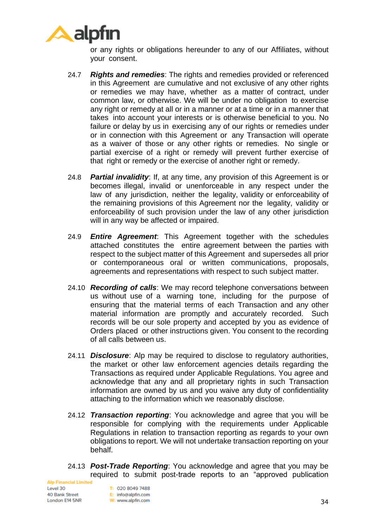

or any rights or obligations hereunder to any of our Affiliates, without your consent.

- 24.7 *Rights and remedies*: The rights and remedies provided or referenced in this Agreement are cumulative and not exclusive of any other rights or remedies we may have, whether as a matter of contract, under common law, or otherwise. We will be under no obligation to exercise any right or remedy at all or in a manner or at a time or in a manner that takes into account your interests or is otherwise beneficial to you. No failure or delay by us in exercising any of our rights or remedies under or in connection with this Agreement or any Transaction will operate as a waiver of those or any other rights or remedies. No single or partial exercise of a right or remedy will prevent further exercise of that right or remedy or the exercise of another right or remedy.
- 24.8 *Partial invalidity*: If, at any time, any provision of this Agreement is or becomes illegal, invalid or unenforceable in any respect under the law of any jurisdiction, neither the legality, validity or enforceability of the remaining provisions of this Agreement nor the legality, validity or enforceability of such provision under the law of any other jurisdiction will in any way be affected or impaired.
- 24.9 *Entire Agreement*: This Agreement together with the schedules attached constitutes the entire agreement between the parties with respect to the subject matter of this Agreement and supersedes all prior or contemporaneous oral or written communications, proposals, agreements and representations with respect to such subject matter.
- 24.10 *Recording of calls*: We may record telephone conversations between us without use of a warning tone, including for the purpose of ensuring that the material terms of each Transaction and any other material information are promptly and accurately recorded. Such records will be our sole property and accepted by you as evidence of Orders placed or other instructions given. You consent to the recording of all calls between us.
- 24.11 *Disclosure*: Alp may be required to disclose to regulatory authorities, the market or other law enforcement agencies details regarding the Transactions as required under Applicable Regulations. You agree and acknowledge that any and all proprietary rights in such Transaction information are owned by us and you waive any duty of confidentiality attaching to the information which we reasonably disclose.
- 24.12 *Transaction reporting*: You acknowledge and agree that you will be responsible for complying with the requirements under Applicable Regulations in relation to transaction reporting as regards to your own obligations to report. We will not undertake transaction reporting on your behalf.
- 24.13 *Post-Trade Reporting*: You acknowledge and agree that you may be required to submit post-trade reports to an "approved publication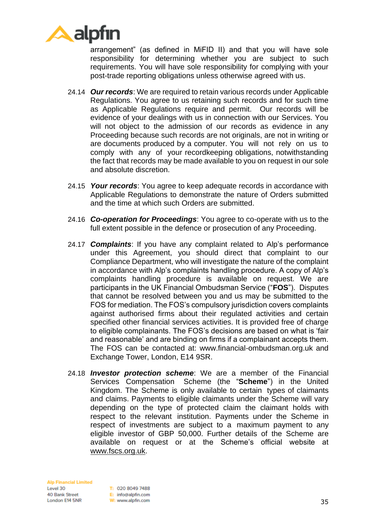

arrangement" (as defined in MiFID II) and that you will have sole responsibility for determining whether you are subject to such requirements. You will have sole responsibility for complying with your post-trade reporting obligations unless otherwise agreed with us.

- 24.14 *Our records*: We are required to retain various records under Applicable Regulations. You agree to us retaining such records and for such time as Applicable Regulations require and permit. Our records will be evidence of your dealings with us in connection with our Services. You will not object to the admission of our records as evidence in any Proceeding because such records are not originals, are not in writing or are documents produced by a computer. You will not rely on us to comply with any of your recordkeeping obligations, notwithstanding the fact that records may be made available to you on request in our sole and absolute discretion.
- 24.15 *Your records*: You agree to keep adequate records in accordance with Applicable Regulations to demonstrate the nature of Orders submitted and the time at which such Orders are submitted.
- 24.16 *Co-operation for Proceedings*: You agree to co-operate with us to the full extent possible in the defence or prosecution of any Proceeding.
- 24.17 *Complaints*: If you have any complaint related to Alp's performance under this Agreement, you should direct that complaint to our Compliance Department, who will investigate the nature of the complaint in accordance with Alp's complaints handling procedure. A copy of Alp's complaints handling procedure is available on request. We are participants in the UK Financial Ombudsman Service ("**FOS**"). Disputes that cannot be resolved between you and us may be submitted to the FOS for mediation. The FOS's compulsory jurisdiction covers complaints against authorised firms about their regulated activities and certain specified other financial services activities. It is provided free of charge to eligible complainants. The FOS's decisions are based on what is 'fair and reasonable' and are binding on firms if a complainant accepts them. The FOS can be contacted at: www.financial-ombudsman.org.uk and Exchange Tower, London, E14 9SR.
- 24.18 *Investor protection scheme*: We are a member of the Financial Services Compensation Scheme (the "**Scheme**") in the United Kingdom. The Scheme is only available to certain types of claimants and claims. Payments to eligible claimants under the Scheme will vary depending on the type of protected claim the claimant holds with respect to the relevant institution. Payments under the Scheme in respect of investments are subject to a maximum payment to any eligible investor of GBP 50,000. Further details of the Scheme are available on request or at the Scheme's official website at [www.fscs.org.uk.](http://www.fscs.org.uk/)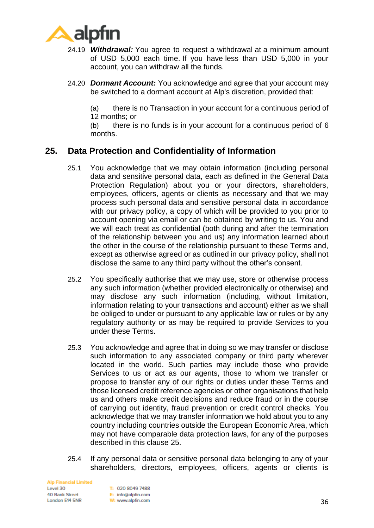

- 24.19 *Withdrawal:* You agree to request a withdrawal at a minimum amount of USD 5,000 each time. If you have less than USD 5,000 in your account, you can withdraw all the funds.
- 24.20 *Dormant Account:* You acknowledge and agree that your account may be switched to a dormant account at Alp's discretion, provided that:

(a) there is no Transaction in your account for a continuous period of 12 months; or

(b) there is no funds is in your account for a continuous period of 6 months.

# <span id="page-35-0"></span>**25. Data Protection and Confidentiality of Information**

- 25.1 You acknowledge that we may obtain information (including personal data and sensitive personal data, each as defined in the General Data Protection Regulation) about you or your directors, shareholders, employees, officers, agents or clients as necessary and that we may process such personal data and sensitive personal data in accordance with our privacy policy, a copy of which will be provided to you prior to account opening via email or can be obtained by writing to us. You and we will each treat as confidential (both during and after the termination of the relationship between you and us) any information learned about the other in the course of the relationship pursuant to these Terms and, except as otherwise agreed or as outlined in our privacy policy, shall not disclose the same to any third party without the other's consent.
- 25.2 You specifically authorise that we may use, store or otherwise process any such information (whether provided electronically or otherwise) and may disclose any such information (including, without limitation, information relating to your transactions and account) either as we shall be obliged to under or pursuant to any applicable law or rules or by any regulatory authority or as may be required to provide Services to you under these Terms.
- 25.3 You acknowledge and agree that in doing so we may transfer or disclose such information to any associated company or third party wherever located in the world. Such parties may include those who provide Services to us or act as our agents, those to whom we transfer or propose to transfer any of our rights or duties under these Terms and those licensed credit reference agencies or other organisations that help us and others make credit decisions and reduce fraud or in the course of carrying out identity, fraud prevention or credit control checks. You acknowledge that we may transfer information we hold about you to any country including countries outside the European Economic Area, which may not have comparable data protection laws, for any of the purposes described in this clause [25.](#page-35-0)
- 25.4 If any personal data or sensitive personal data belonging to any of your shareholders, directors, employees, officers, agents or clients is